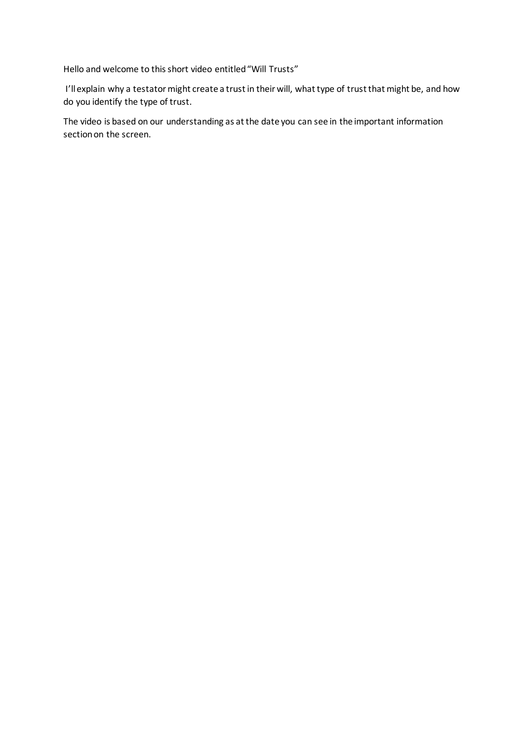Hello and welcome to this short video entitled "Will Trusts"

I'll explain why a testator might create a trust in their will, what type of trust that might be, and how do you identify the type of trust.

The video is based on our understanding as at the date you can see in the important information section on the screen.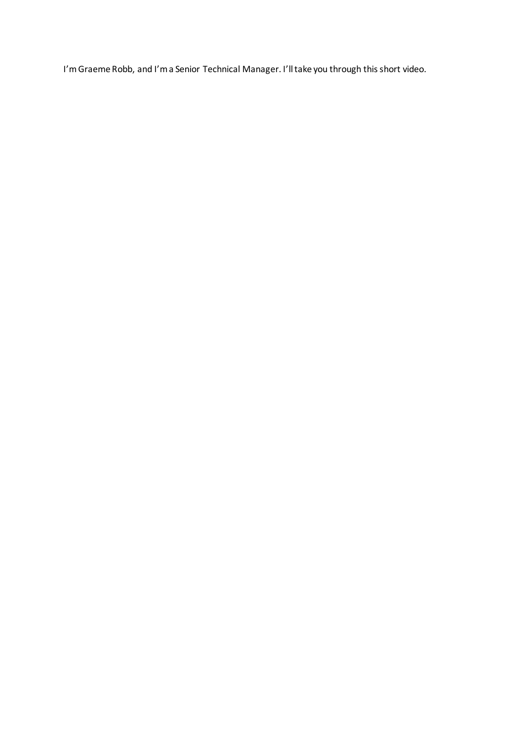I'm Graeme Robb, and I'm a Senior Technical Manager. I'll take you through this short video.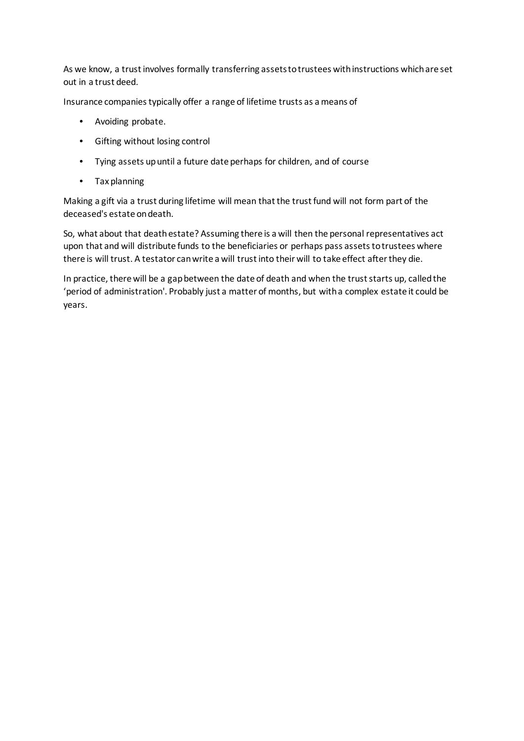As we know, a trust involves formally transferring assets to trustees with instructions which are set out in a trust deed.

Insurance companies typically offer a range of lifetime trusts as a means of

- Avoiding probate.
- Gifting without losing control
- Tying assets up until a future date perhaps for children, and of course
- Tax planning

Making a gift via a trust during lifetime will mean that the trust fund will not form part of the deceased's estate on death.

So, what about that death estate? Assuming there is a will then the personal representatives act upon that and will distribute funds to the beneficiaries or perhaps pass assets to trustees where there is will trust. A testator can write a will trust into their will to take effect after they die.

In practice, there will be a gap between the date of death and when the trust starts up, called the 'period of administration'. Probably just a matter of months, but with a complex estate it could be years.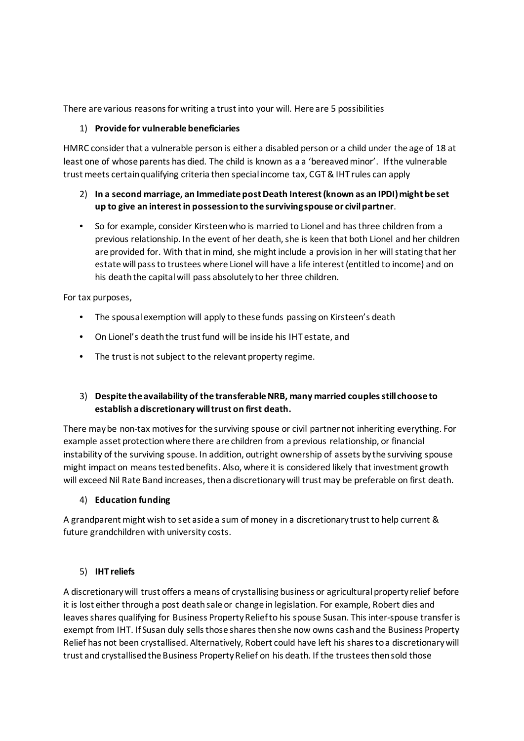There are various reasons for writing a trust into your will. Here are 5 possibilities

## 1) **Provide for vulnerable beneficiaries**

HMRC consider that a vulnerable person is either a disabled person or a child under the age of 18 at least one of whose parents has died. The child is known as a a 'bereaved minor'. If the vulnerable trust meets certain qualifying criteria then special income tax, CGT & IHT rules can apply

# 2) **In a second marriage, an Immediate post Death Interest (known as an IPDI) might be set up to give an interest in possession to the surviving spouse or civil partner**.

• So for example, consider Kirsteen who is married to Lionel and has three children from a previous relationship. In the event of her death, she is keen that both Lionel and her children are provided for. With that in mind, she might include a provision in her will stating that her estate will pass to trustees where Lionel will have a life interest (entitled to income) and on his death the capital will pass absolutely to her three children.

For tax purposes,

- The spousal exemption will apply to these funds passing on Kirsteen's death
- On Lionel's death the trust fund will be inside his IHT estate, and
- The trust is not subject to the relevant property regime.

# 3) **Despite the availability of the transferable NRB, many married couples still choose to establish a discretionary will trust on first death.**

There may be non-tax motives for the surviving spouse or civil partner not inheriting everything. For example asset protection where there are children from a previous relationship, or financial instability of the surviving spouse. In addition, outright ownership of assets by the surviving spouse might impact on means tested benefits. Also, where it is considered likely that investment growth will exceed Nil Rate Band increases, then a discretionary will trust may be preferable on first death.

### 4) **Education funding**

A grandparent might wish to set aside a sum of money in a discretionary trust to help current & future grandchildren with university costs.

### 5) **IHT reliefs**

A discretionary will trust offers a means of crystallising business or agricultural property relief before it is lost either through a post death sale or change in legislation. For example, Robert dies and leaves shares qualifying for Business Property Relief to his spouse Susan. This inter-spouse transfer is exempt from IHT. If Susan duly sells those shares then she now owns cash and the Business Property Relief has not been crystallised. Alternatively, Robert could have left his shares to a discretionary will trust and crystallised the Business Property Relief on his death. If the trustees then sold those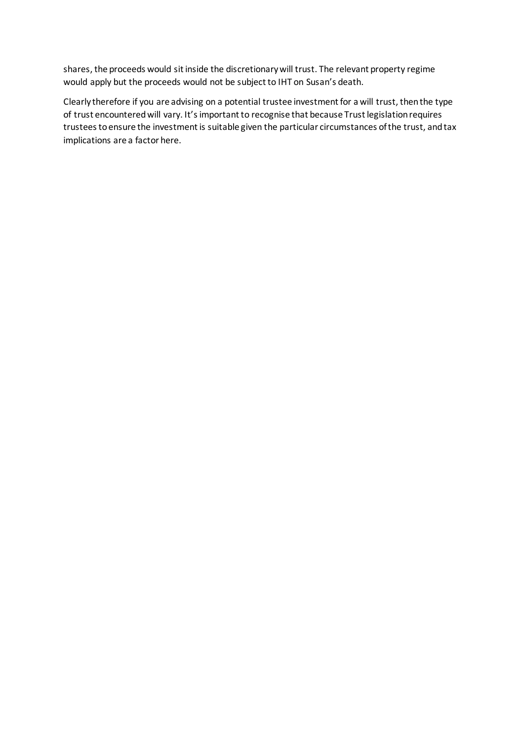shares, the proceeds would sit inside the discretionary will trust. The relevant property regime would apply but the proceeds would not be subject to IHT on Susan's death.

Clearly therefore if you are advising on a potential trustee investment for a will trust, then the type of trust encountered will vary. It's important to recognise that because Trust legislation requires trustees to ensure the investment is suitable given the particular circumstances of the trust, and tax implications are a factor here.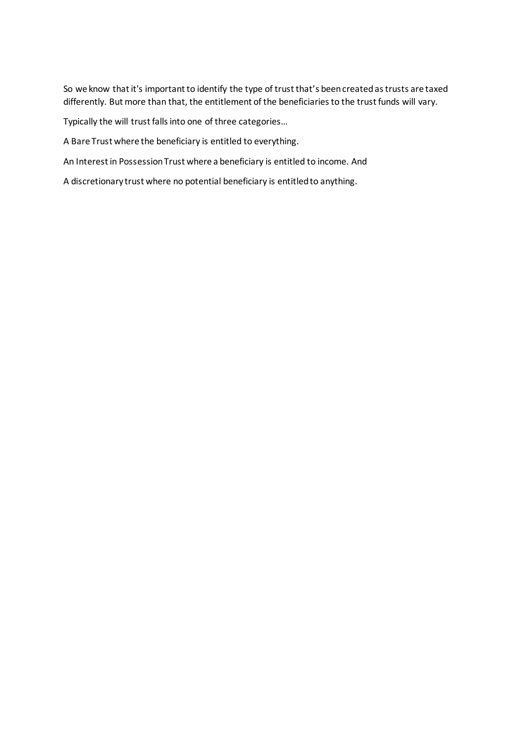So we know that it's important to identify the type of trust that's been created as trusts are taxed differently. But more than that, the entitlement of the beneficiaries to the trust funds will vary.

Typically the will trust falls into one of three categories…

A Bare Trust where the beneficiary is entitled to everything.

An Interest in Possession Trust where a beneficiary is entitled to income. And

A discretionary trust where no potential beneficiary is entitled to anything.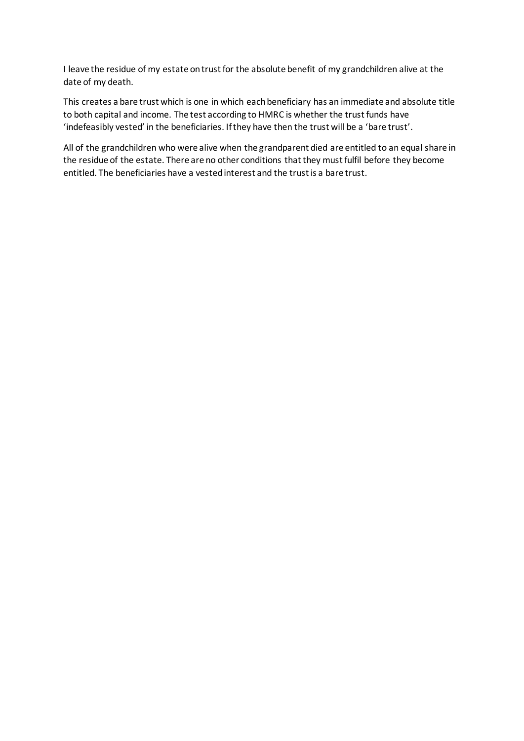I leave the residue of my estate on trust for the absolute benefit of my grandchildren alive at the date of my death.

This creates a bare trust which is one in which each beneficiary has an immediate and absolute title to both capital and income. The test according to HMRC is whether the trust funds have 'indefeasibly vested' in the beneficiaries. If they have then the trust will be a 'bare trust'.

All of the grandchildren who were alive when the grandparent died are entitled to an equal share in the residue of the estate. There are no other conditions that they must fulfil before they become entitled. The beneficiaries have a vested interest and the trust is a bare trust.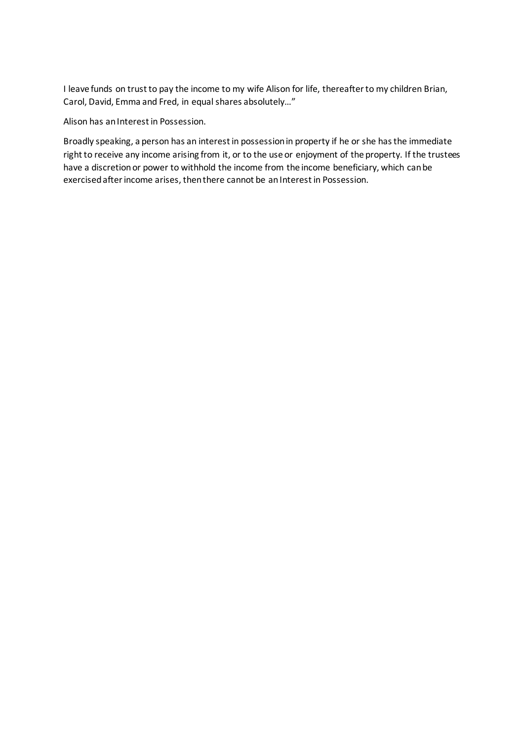I leave funds on trust to pay the income to my wife Alison for life, thereafter to my children Brian, Carol, David, Emma and Fred, in equal shares absolutely…"

Alison has an Interest in Possession.

Broadly speaking, a person has an interest in possession in property if he or she has the immediate right to receive any income arising from it, or to the use or enjoyment of the property. If the trustees have a discretion or power to withhold the income from the income beneficiary, which can be exercised after income arises, then there cannot be an Interest in Possession.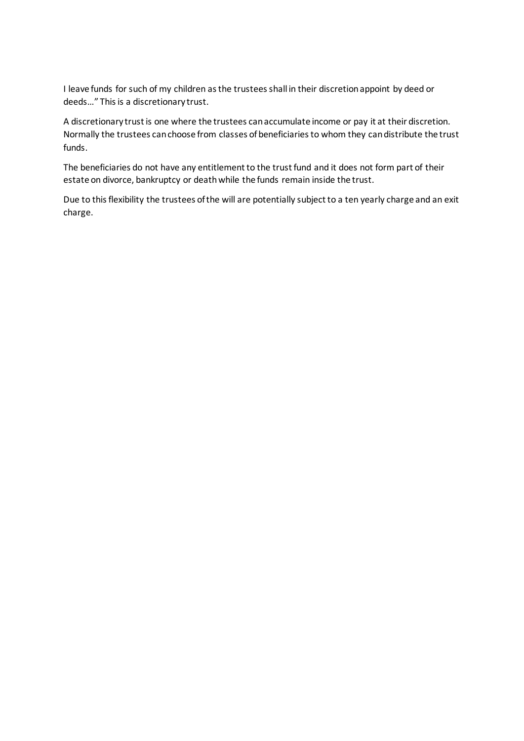I leave funds for such of my children as the trustees shall in their discretion appoint by deed or deeds…" This is a discretionary trust.

A discretionary trust is one where the trustees can accumulate income or pay it at their discretion. Normally the trustees can choose from classes of beneficiaries to whom they can distribute the trust funds.

The beneficiaries do not have any entitlement to the trust fund and it does not form part of their estate on divorce, bankruptcy or death while the funds remain inside the trust.

Due to this flexibility the trustees of the will are potentially subject to a ten yearly charge and an exit charge.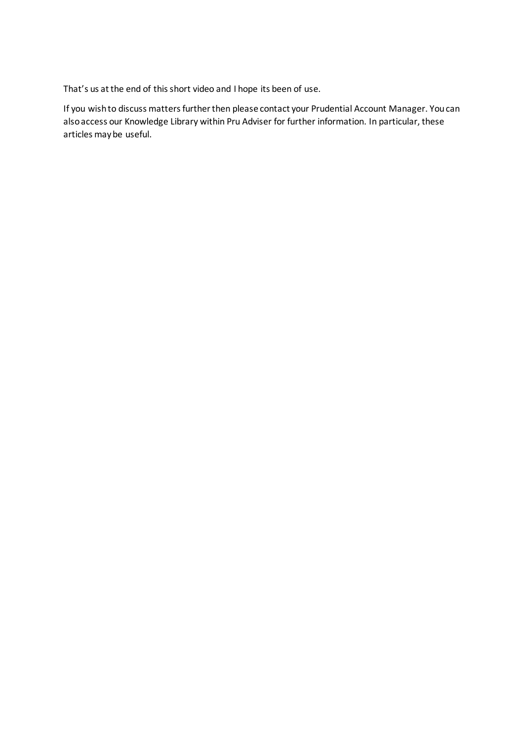That's us at the end of this short video and I hope its been of use.

If you wish to discuss matters further then please contact your Prudential Account Manager. You can also access our Knowledge Library within Pru Adviser for further information. In particular, these articles may be useful.